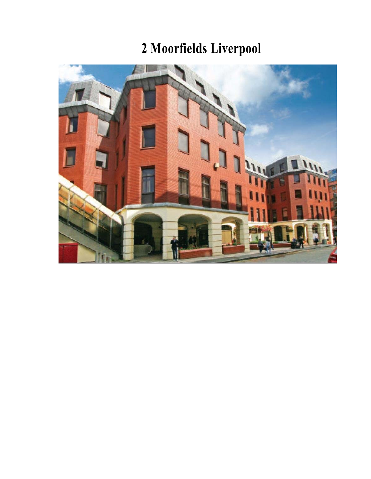## **2 Moorfields Liverpool**

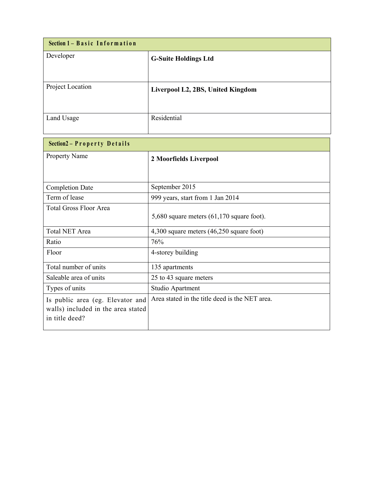| Section 1 - Basic Information |                                   |
|-------------------------------|-----------------------------------|
| Developer                     | <b>G-Suite Holdings Ltd</b>       |
| Project Location              | Liverpool L2, 2BS, United Kingdom |
| Land Usage                    | Residential                       |

| Section2 - Property Details        |                                                |
|------------------------------------|------------------------------------------------|
| <b>Property Name</b>               | 2 Moorfields Liverpool                         |
|                                    |                                                |
| <b>Completion Date</b>             | September 2015                                 |
| Term of lease                      | 999 years, start from 1 Jan 2014               |
| <b>Total Gross Floor Area</b>      |                                                |
|                                    | 5,680 square meters $(61,170)$ square foot).   |
| <b>Total NET Area</b>              | $4,300$ square meters $(46,250)$ square foot)  |
| Ratio                              | 76%                                            |
| Floor                              | 4-storey building                              |
| Total number of units              | 135 apartments                                 |
| Saleable area of units             | 25 to 43 square meters                         |
| Types of units                     | Studio Apartment                               |
| Is public area (eg. Elevator and   | Area stated in the title deed is the NET area. |
| walls) included in the area stated |                                                |
| in title deed?                     |                                                |
|                                    |                                                |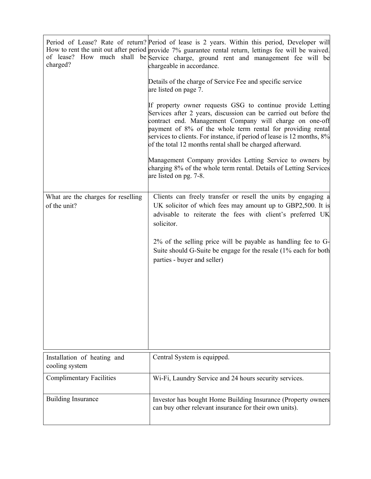| charged?                                      | Period of Lease? Rate of return? Period of lease is 2 years. Within this period, Developer will<br>How to rent the unit out after period provide 7% guarantee rental return, lettings fee will be waived.<br>of lease? How much shall be Service charge, ground rent and management fee will be<br>chargeable in accordance.                                                                    |
|-----------------------------------------------|-------------------------------------------------------------------------------------------------------------------------------------------------------------------------------------------------------------------------------------------------------------------------------------------------------------------------------------------------------------------------------------------------|
|                                               | Details of the charge of Service Fee and specific service<br>are listed on page 7.                                                                                                                                                                                                                                                                                                              |
|                                               | If property owner requests GSG to continue provide Letting<br>Services after 2 years, discussion can be carried out before the<br>contract end. Management Company will charge on one-off<br>payment of 8% of the whole term rental for providing rental<br>services to clients. For instance, if period of lease is 12 months, 8%<br>of the total 12 months rental shall be charged afterward. |
|                                               | Management Company provides Letting Service to owners by<br>charging 8% of the whole term rental. Details of Letting Services<br>are listed on pg. 7-8.                                                                                                                                                                                                                                         |
| What are the charges for reselling            | Clients can freely transfer or resell the units by engaging a                                                                                                                                                                                                                                                                                                                                   |
| of the unit?                                  | UK solicitor of which fees may amount up to GBP2,500. It is<br>advisable to reiterate the fees with client's preferred UK<br>solicitor.                                                                                                                                                                                                                                                         |
|                                               | $2\%$ of the selling price will be payable as handling fee to G-<br>Suite should G-Suite be engage for the resale (1% each for both<br>parties - buyer and seller)                                                                                                                                                                                                                              |
|                                               |                                                                                                                                                                                                                                                                                                                                                                                                 |
|                                               |                                                                                                                                                                                                                                                                                                                                                                                                 |
|                                               |                                                                                                                                                                                                                                                                                                                                                                                                 |
| Installation of heating and<br>cooling system | Central System is equipped.                                                                                                                                                                                                                                                                                                                                                                     |
| <b>Complimentary Facilities</b>               | Wi-Fi, Laundry Service and 24 hours security services.                                                                                                                                                                                                                                                                                                                                          |
| <b>Building Insurance</b>                     | Investor has bought Home Building Insurance (Property owners<br>can buy other relevant insurance for their own units).                                                                                                                                                                                                                                                                          |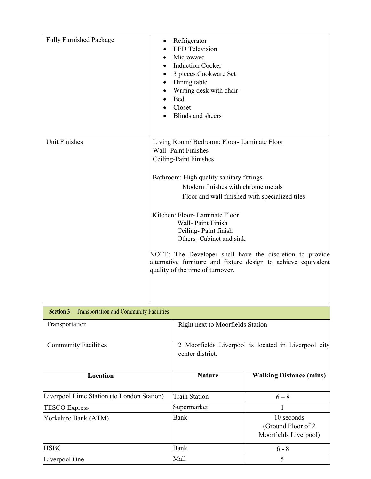| <b>Fully Furnished Package</b> | Refrigerator<br><b>LED</b> Television<br>Microwave<br><b>Induction Cooker</b><br>3 pieces Cookware Set<br>Dining table<br>Writing desk with chair<br><b>Bed</b><br>Closet<br>Blinds and sheers                                                                           |
|--------------------------------|--------------------------------------------------------------------------------------------------------------------------------------------------------------------------------------------------------------------------------------------------------------------------|
| <b>Unit Finishes</b>           | Living Room/ Bedroom: Floor- Laminate Floor<br><b>Wall-Paint Finishes</b><br>Ceiling-Paint Finishes<br>Bathroom: High quality sanitary fittings<br>Modern finishes with chrome metals<br>Floor and wall finished with specialized tiles                                  |
|                                | Kitchen: Floor-Laminate Floor<br>Wall-Paint Finish<br>Ceiling-Paint finish<br>Others- Cabinet and sink<br>NOTE: The Developer shall have the discretion to provide<br>alternative furniture and fixture design to achieve equivalent<br>quality of the time of turnover. |

| <b>Section 3 – Transportation and Community Facilities</b> |                                  |                                                            |
|------------------------------------------------------------|----------------------------------|------------------------------------------------------------|
| Transportation                                             | Right next to Moorfields Station |                                                            |
| <b>Community Facilities</b>                                | center district.                 | 2 Moorfields Liverpool is located in Liverpool city        |
| Location                                                   | <b>Nature</b>                    | <b>Walking Distance (mins)</b>                             |
| Liverpool Lime Station (to London Station)                 | <b>Train Station</b>             | $6 - 8$                                                    |
| <b>TESCO Express</b>                                       | Supermarket                      | 1                                                          |
| Yorkshire Bank (ATM)                                       | <b>Bank</b>                      | 10 seconds<br>(Ground Floor of 2)<br>Moorfields Liverpool) |
| <b>HSBC</b>                                                | <b>Bank</b>                      | $6 - 8$                                                    |
| Liverpool One                                              | Mall                             | 5                                                          |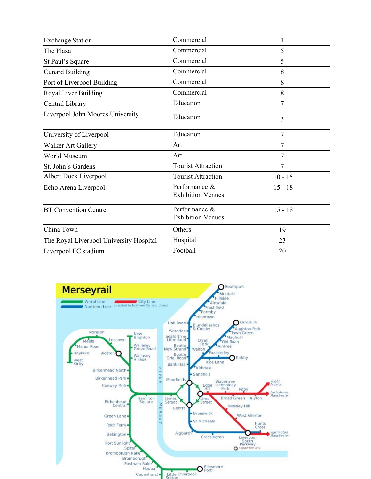| Commercial                                | $\mathbf{1}$ |
|-------------------------------------------|--------------|
| Commercial                                | 5            |
| Commercial                                | 5            |
| Commercial                                | 8            |
| Commercial                                | 8            |
| Commercial                                | 8            |
| Education                                 | 7            |
| Education                                 | 3            |
| Education                                 | 7            |
| Art                                       | 7            |
| Art                                       | 7            |
| <b>Tourist Attraction</b>                 | 7            |
| <b>Tourist Attraction</b>                 | $10 - 15$    |
| Performance &<br><b>Exhibition Venues</b> | $15 - 18$    |
| Performance &<br><b>Exhibition Venues</b> | $15 - 18$    |
| Others                                    | 19           |
| Hospital                                  | 23           |
| Football                                  | 20           |
|                                           |              |

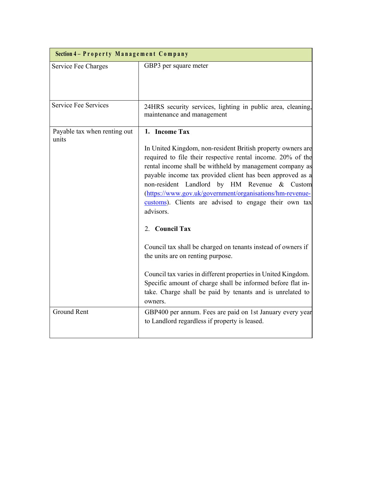| Section 4 - Property Management Company |                                                                                                                                                                                                                                                                                                                                                                                                                                                                                                                                                                                                                                                |
|-----------------------------------------|------------------------------------------------------------------------------------------------------------------------------------------------------------------------------------------------------------------------------------------------------------------------------------------------------------------------------------------------------------------------------------------------------------------------------------------------------------------------------------------------------------------------------------------------------------------------------------------------------------------------------------------------|
| Service Fee Charges                     | GBP3 per square meter                                                                                                                                                                                                                                                                                                                                                                                                                                                                                                                                                                                                                          |
| Service Fee Services                    | 24HRS security services, lighting in public area, cleaning,<br>maintenance and management                                                                                                                                                                                                                                                                                                                                                                                                                                                                                                                                                      |
| Payable tax when renting out<br>units   | 1. Income Tax<br>In United Kingdom, non-resident British property owners are<br>required to file their respective rental income. 20% of the<br>rental income shall be withheld by management company as<br>payable income tax provided client has been approved as a<br>non-resident Landlord by HM Revenue & Custom<br>(https://www.gov.uk/government/organisations/hm-revenue-<br>customs). Clients are advised to engage their own tax<br>advisors.<br>2. Council Tax<br>Council tax shall be charged on tenants instead of owners if<br>the units are on renting purpose.<br>Council tax varies in different properties in United Kingdom. |
|                                         | Specific amount of charge shall be informed before flat in-<br>take. Charge shall be paid by tenants and is unrelated to<br>owners.                                                                                                                                                                                                                                                                                                                                                                                                                                                                                                            |
| <b>Ground Rent</b>                      | GBP400 per annum. Fees are paid on 1st January every year<br>to Landlord regardless if property is leased.                                                                                                                                                                                                                                                                                                                                                                                                                                                                                                                                     |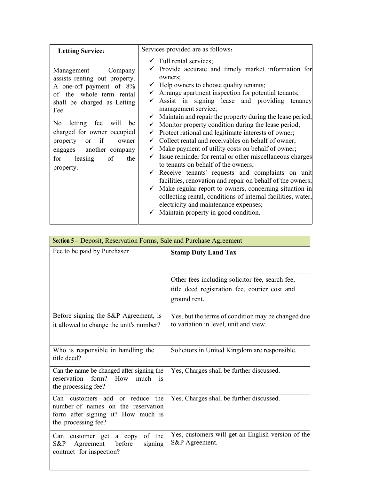| <b>Letting Service:</b>                                                                                                                                                                                                                                                                                     | Services provided are as follows:                                                                                                                                                                                                                                                                                                                                                                                                                                                                                                                                                                                                                                                                                                                                                                                                                                                                                                                                                                                                                                                                                          |
|-------------------------------------------------------------------------------------------------------------------------------------------------------------------------------------------------------------------------------------------------------------------------------------------------------------|----------------------------------------------------------------------------------------------------------------------------------------------------------------------------------------------------------------------------------------------------------------------------------------------------------------------------------------------------------------------------------------------------------------------------------------------------------------------------------------------------------------------------------------------------------------------------------------------------------------------------------------------------------------------------------------------------------------------------------------------------------------------------------------------------------------------------------------------------------------------------------------------------------------------------------------------------------------------------------------------------------------------------------------------------------------------------------------------------------------------------|
| Management<br>Company<br>assists renting out property.<br>A one-off payment of 8%<br>of the whole term rental<br>shall be charged as Letting<br>Fee.<br>No letting fee will be<br>charged for owner occupied<br>property or if<br>owner<br>engages another company<br>of<br>for leasing<br>the<br>property. | $\checkmark$ Full rental services;<br>Provide accurate and timely market information for<br>owners;<br>$\checkmark$ Help owners to choose quality tenants;<br>Arrange apartment inspection for potential tenants;<br>Assist in signing lease and providing<br>tenancy<br>management service;<br>$\checkmark$ Maintain and repair the property during the lease period;<br>$\checkmark$ Monitor property condition during the lease period;<br>$\checkmark$ Protect rational and legitimate interests of owner;<br>$\checkmark$ Collect rental and receivables on behalf of owner;<br>$\checkmark$ Make payment of utility costs on behalf of owner;<br>$\checkmark$ Issue reminder for rental or other miscellaneous charges<br>to tenants on behalf of the owners;<br>$\checkmark$ Receive tenants' requests and complaints on unit<br>facilities, renovation and repair on behalf of the owners;<br>$\checkmark$ Make regular report to owners, concerning situation in<br>collecting rental, conditions of internal facilities, water,<br>electricity and maintenance expenses;<br>Maintain property in good condition. |

| Section 5 - Deposit, Reservation Forms, Sale and Purchase Agreement                                                                |                                                                                                                  |  |
|------------------------------------------------------------------------------------------------------------------------------------|------------------------------------------------------------------------------------------------------------------|--|
| Fee to be paid by Purchaser                                                                                                        | <b>Stamp Duty Land Tax</b>                                                                                       |  |
|                                                                                                                                    | Other fees including solicitor fee, search fee,<br>title deed registration fee, courier cost and<br>ground rent. |  |
| Before signing the S&P Agreement, is<br>it allowed to change the unit's number?                                                    | Yes, but the terms of condition may be changed due<br>to variation in level, unit and view.                      |  |
| Who is responsible in handling the<br>title deed?                                                                                  | Solicitors in United Kingdom are responsible.                                                                    |  |
| Can the name be changed after signing the<br>form?<br>reservation<br>How<br>much is<br>the processing fee?                         | Yes, Charges shall be further discussed.                                                                         |  |
| Can customers add or reduce the<br>number of names on the reservation<br>form after signing it? How much is<br>the processing fee? | Yes, Charges shall be further discussed.                                                                         |  |
| of the<br>Can customer get a copy<br>Agreement<br>before<br>S&P<br>signing<br>contract for inspection?                             | Yes, customers will get an English version of the<br>S&P Agreement.                                              |  |